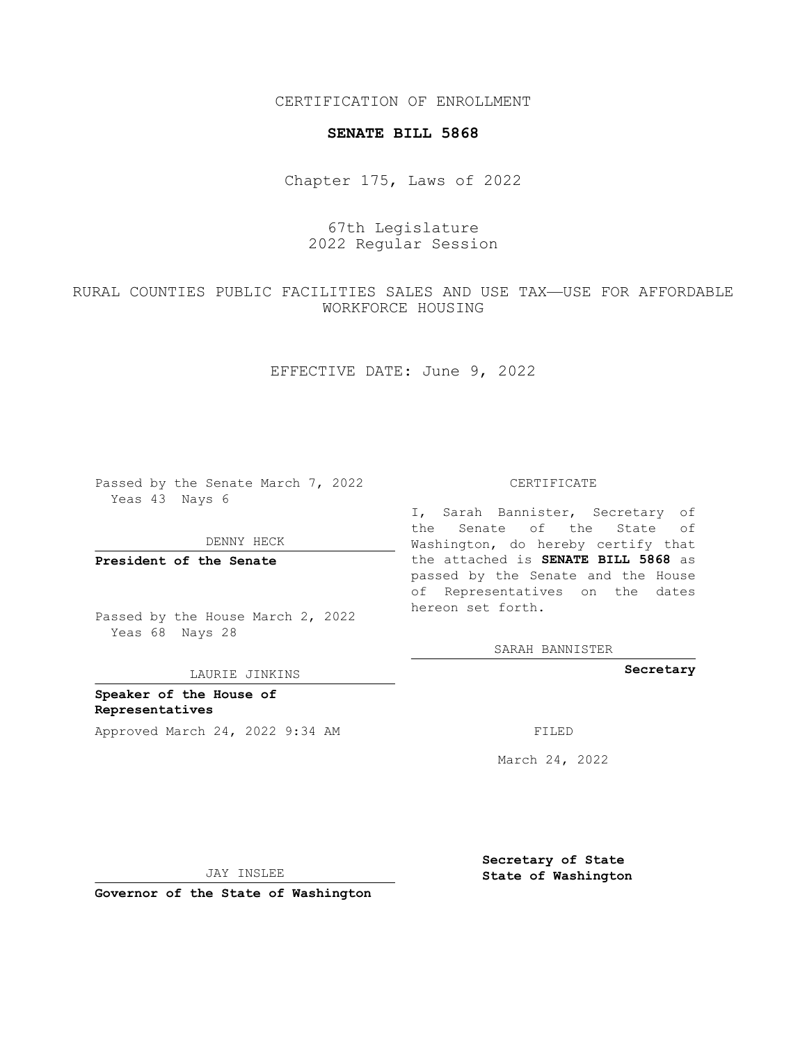CERTIFICATION OF ENROLLMENT

## **SENATE BILL 5868**

Chapter 175, Laws of 2022

67th Legislature 2022 Regular Session

RURAL COUNTIES PUBLIC FACILITIES SALES AND USE TAX—USE FOR AFFORDABLE WORKFORCE HOUSING

EFFECTIVE DATE: June 9, 2022

Passed by the Senate March 7, 2022 Yeas 43 Nays 6

DENNY HECK

**President of the Senate**

Passed by the House March 2, 2022 Yeas 68 Nays 28

LAURIE JINKINS

**Speaker of the House of Representatives** Approved March 24, 2022 9:34 AM FILED

CERTIFICATE

I, Sarah Bannister, Secretary of the Senate of the State of Washington, do hereby certify that the attached is **SENATE BILL 5868** as passed by the Senate and the House of Representatives on the dates hereon set forth.

SARAH BANNISTER

**Secretary**

March 24, 2022

JAY INSLEE

**Governor of the State of Washington**

**Secretary of State State of Washington**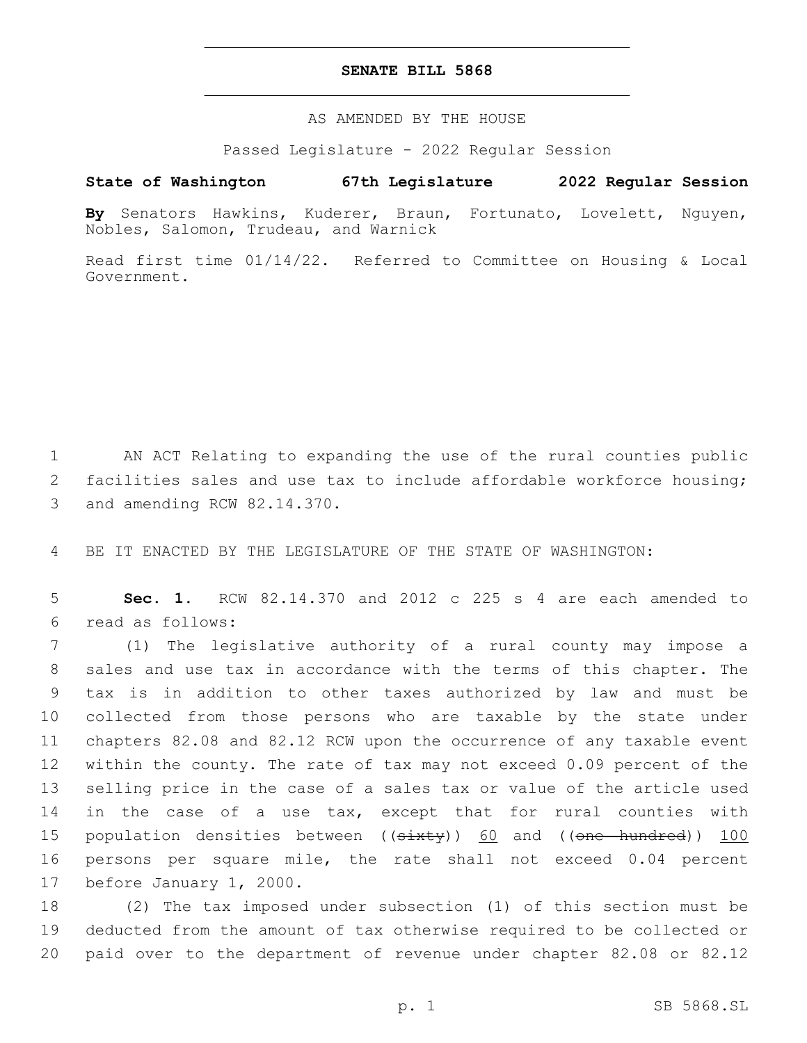## **SENATE BILL 5868**

AS AMENDED BY THE HOUSE

Passed Legislature - 2022 Regular Session

## **State of Washington 67th Legislature 2022 Regular Session**

**By** Senators Hawkins, Kuderer, Braun, Fortunato, Lovelett, Nguyen, Nobles, Salomon, Trudeau, and Warnick

Read first time 01/14/22. Referred to Committee on Housing & Local Government.

1 AN ACT Relating to expanding the use of the rural counties public 2 facilities sales and use tax to include affordable workforce housing; 3 and amending RCW 82.14.370.

4 BE IT ENACTED BY THE LEGISLATURE OF THE STATE OF WASHINGTON:

5 **Sec. 1.** RCW 82.14.370 and 2012 c 225 s 4 are each amended to read as follows:6

 (1) The legislative authority of a rural county may impose a sales and use tax in accordance with the terms of this chapter. The tax is in addition to other taxes authorized by law and must be collected from those persons who are taxable by the state under chapters 82.08 and 82.12 RCW upon the occurrence of any taxable event within the county. The rate of tax may not exceed 0.09 percent of the selling price in the case of a sales tax or value of the article used in the case of a use tax, except that for rural counties with 15 population densities between ((sixty)) 60 and ((one hundred)) 100 persons per square mile, the rate shall not exceed 0.04 percent 17 before January 1, 2000.

18 (2) The tax imposed under subsection (1) of this section must be 19 deducted from the amount of tax otherwise required to be collected or 20 paid over to the department of revenue under chapter 82.08 or 82.12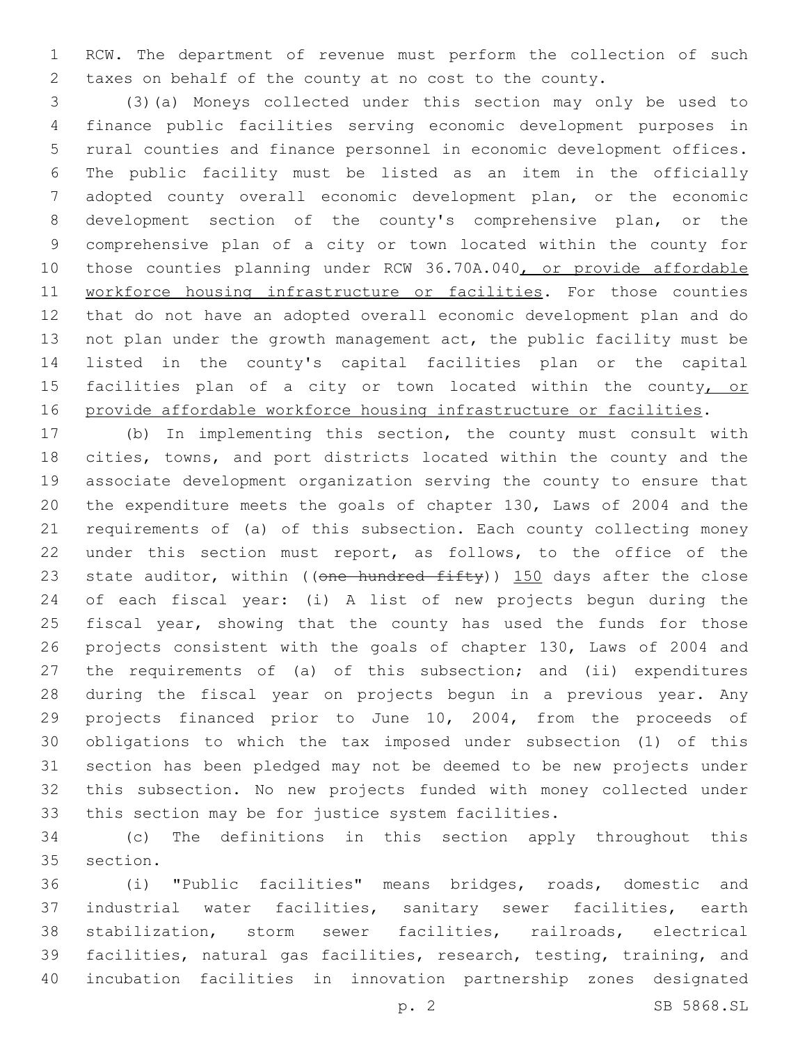RCW. The department of revenue must perform the collection of such taxes on behalf of the county at no cost to the county.

 (3)(a) Moneys collected under this section may only be used to finance public facilities serving economic development purposes in rural counties and finance personnel in economic development offices. The public facility must be listed as an item in the officially adopted county overall economic development plan, or the economic development section of the county's comprehensive plan, or the comprehensive plan of a city or town located within the county for 10 those counties planning under RCW 36.70A.040, or provide affordable 11 workforce housing infrastructure or facilities. For those counties that do not have an adopted overall economic development plan and do not plan under the growth management act, the public facility must be listed in the county's capital facilities plan or the capital 15 facilities plan of a city or town located within the county, or provide affordable workforce housing infrastructure or facilities.

 (b) In implementing this section, the county must consult with cities, towns, and port districts located within the county and the associate development organization serving the county to ensure that the expenditure meets the goals of chapter 130, Laws of 2004 and the requirements of (a) of this subsection. Each county collecting money under this section must report, as follows, to the office of the 23 state auditor, within ((one hundred fifty)) 150 days after the close of each fiscal year: (i) A list of new projects begun during the 25 fiscal year, showing that the county has used the funds for those projects consistent with the goals of chapter 130, Laws of 2004 and 27 the requirements of (a) of this subsection; and (ii) expenditures during the fiscal year on projects begun in a previous year. Any projects financed prior to June 10, 2004, from the proceeds of obligations to which the tax imposed under subsection (1) of this section has been pledged may not be deemed to be new projects under this subsection. No new projects funded with money collected under this section may be for justice system facilities.

 (c) The definitions in this section apply throughout this 35 section.

 (i) "Public facilities" means bridges, roads, domestic and industrial water facilities, sanitary sewer facilities, earth stabilization, storm sewer facilities, railroads, electrical facilities, natural gas facilities, research, testing, training, and incubation facilities in innovation partnership zones designated

p. 2 SB 5868.SL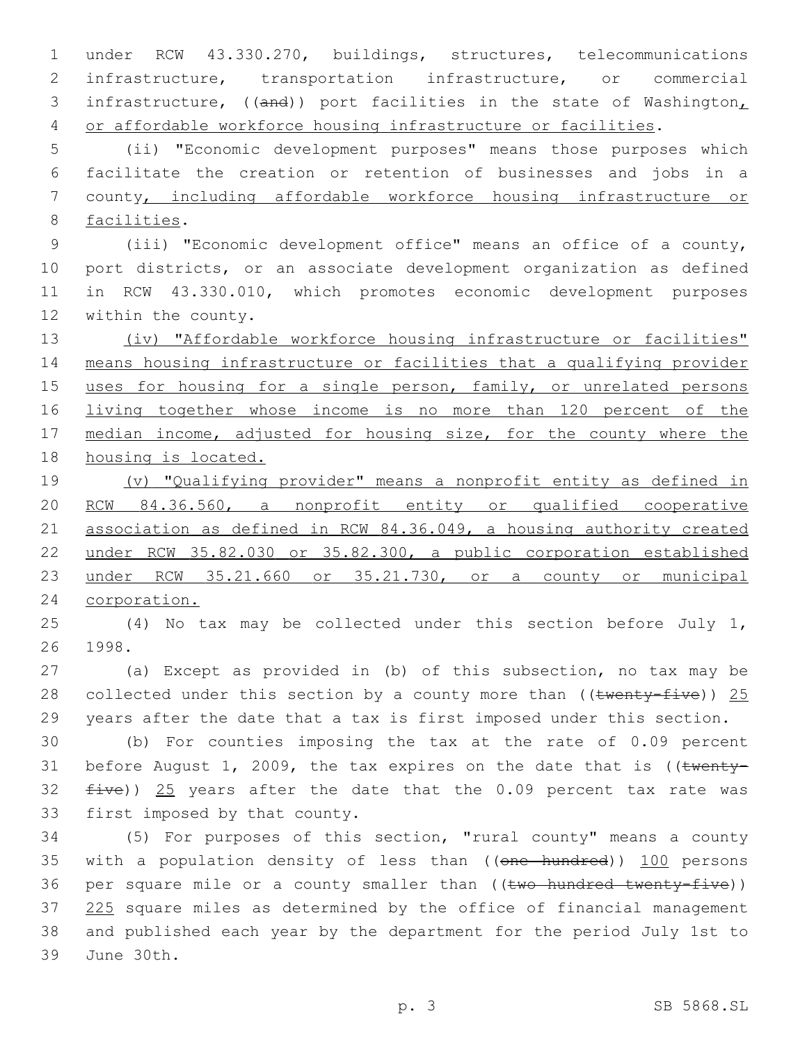under RCW 43.330.270, buildings, structures, telecommunications infrastructure, transportation infrastructure, or commercial 3 infrastructure, ((and)) port facilities in the state of Washington, or affordable workforce housing infrastructure or facilities.

 (ii) "Economic development purposes" means those purposes which facilitate the creation or retention of businesses and jobs in a county, including affordable workforce housing infrastructure or 8 facilities.

 (iii) "Economic development office" means an office of a county, port districts, or an associate development organization as defined in RCW 43.330.010, which promotes economic development purposes 12 within the county.

 (iv) "Affordable workforce housing infrastructure or facilities" means housing infrastructure or facilities that a qualifying provider 15 uses for housing for a single person, family, or unrelated persons living together whose income is no more than 120 percent of the 17 median income, adjusted for housing size, for the county where the housing is located.

 (v) "Qualifying provider" means a nonprofit entity as defined in RCW 84.36.560, a nonprofit entity or qualified cooperative association as defined in RCW 84.36.049, a housing authority created under RCW 35.82.030 or 35.82.300, a public corporation established under RCW 35.21.660 or 35.21.730, or a county or municipal corporation.

 (4) No tax may be collected under this section before July 1, 26 1998.

 (a) Except as provided in (b) of this subsection, no tax may be 28 collected under this section by a county more than (( $t$ wenty-five)) 25 years after the date that a tax is first imposed under this section.

 (b) For counties imposing the tax at the rate of 0.09 percent 31 before August 1, 2009, the tax expires on the date that is (( $t$ wenty-32  $five)$ ) 25 years after the date that the 0.09 percent tax rate was 33 first imposed by that county.

 (5) For purposes of this section, "rural county" means a county 35 with a population density of less than ((one hundred)) 100 persons 36 per square mile or a county smaller than ((two hundred twenty-five)) 37 225 square miles as determined by the office of financial management and published each year by the department for the period July 1st to 39 June 30th.